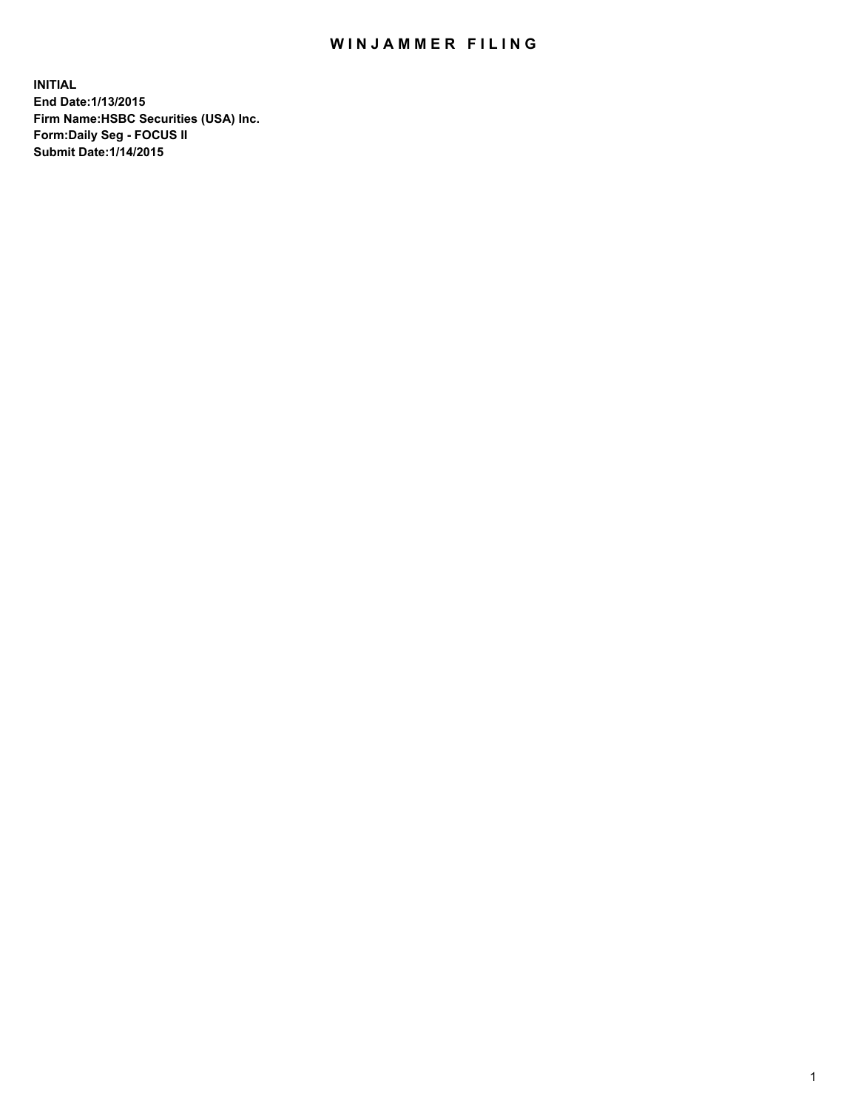## WIN JAMMER FILING

**INITIAL End Date:1/13/2015 Firm Name:HSBC Securities (USA) Inc. Form:Daily Seg - FOCUS II Submit Date:1/14/2015**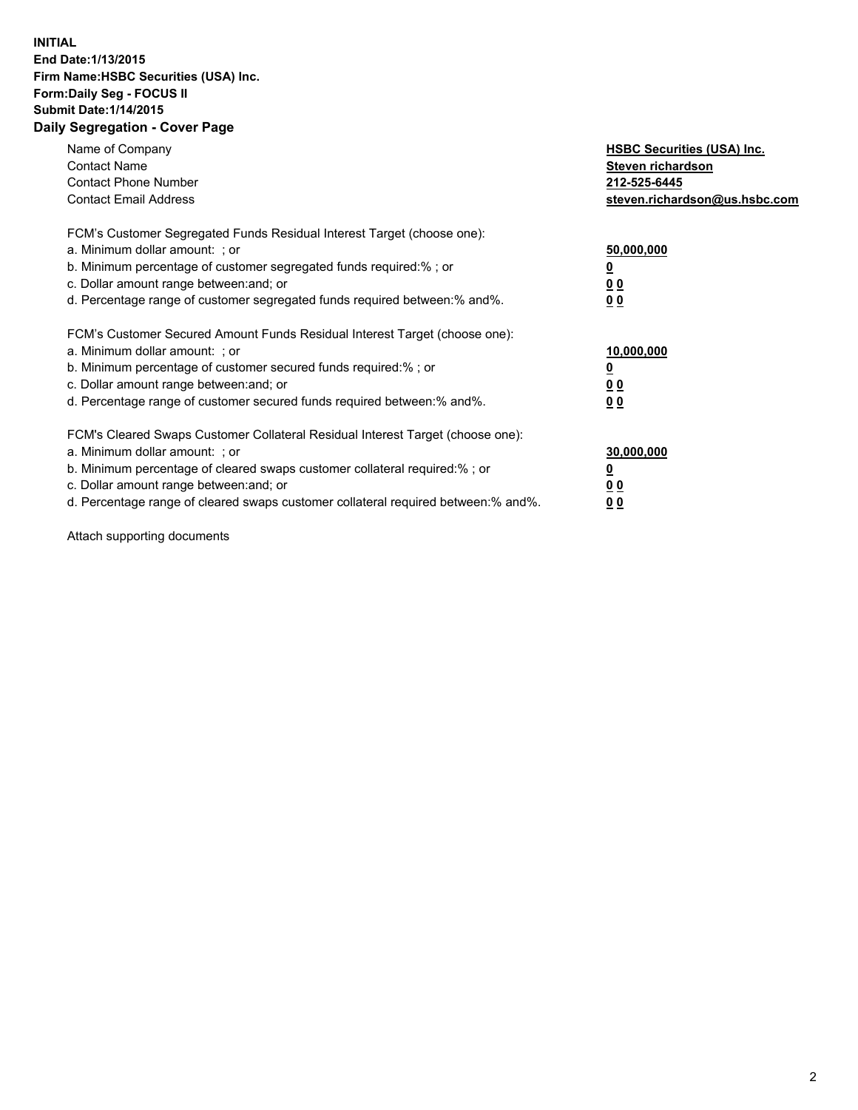## **INITIAL End Date:1/13/2015 Firm Name:HSBC Securities (USA) Inc. Form:Daily Seg - FOCUS II Submit Date:1/14/2015 Daily Segregation - Cover Page**

| Name of Company<br><b>Contact Name</b><br><b>Contact Phone Number</b><br><b>Contact Email Address</b>                                                                                                                                                                                                                          | <b>HSBC Securities (USA) Inc.</b><br>Steven richardson<br>212-525-6445<br>steven.richardson@us.hsbc.com |
|--------------------------------------------------------------------------------------------------------------------------------------------------------------------------------------------------------------------------------------------------------------------------------------------------------------------------------|---------------------------------------------------------------------------------------------------------|
| FCM's Customer Segregated Funds Residual Interest Target (choose one):<br>a. Minimum dollar amount: ; or<br>b. Minimum percentage of customer segregated funds required:%; or<br>c. Dollar amount range between: and; or<br>d. Percentage range of customer segregated funds required between: % and %.                        | 50,000,000<br>0 <sub>0</sub><br>0 <sub>0</sub>                                                          |
| FCM's Customer Secured Amount Funds Residual Interest Target (choose one):<br>a. Minimum dollar amount: ; or<br>b. Minimum percentage of customer secured funds required:%; or<br>c. Dollar amount range between: and; or<br>d. Percentage range of customer secured funds required between:% and%.                            | 10,000,000<br><u>0</u><br>0 <sub>0</sub><br>0 <sub>0</sub>                                              |
| FCM's Cleared Swaps Customer Collateral Residual Interest Target (choose one):<br>a. Minimum dollar amount: ; or<br>b. Minimum percentage of cleared swaps customer collateral required:% ; or<br>c. Dollar amount range between: and; or<br>d. Percentage range of cleared swaps customer collateral required between:% and%. | 30,000,000<br>00<br><u>00</u>                                                                           |

Attach supporting documents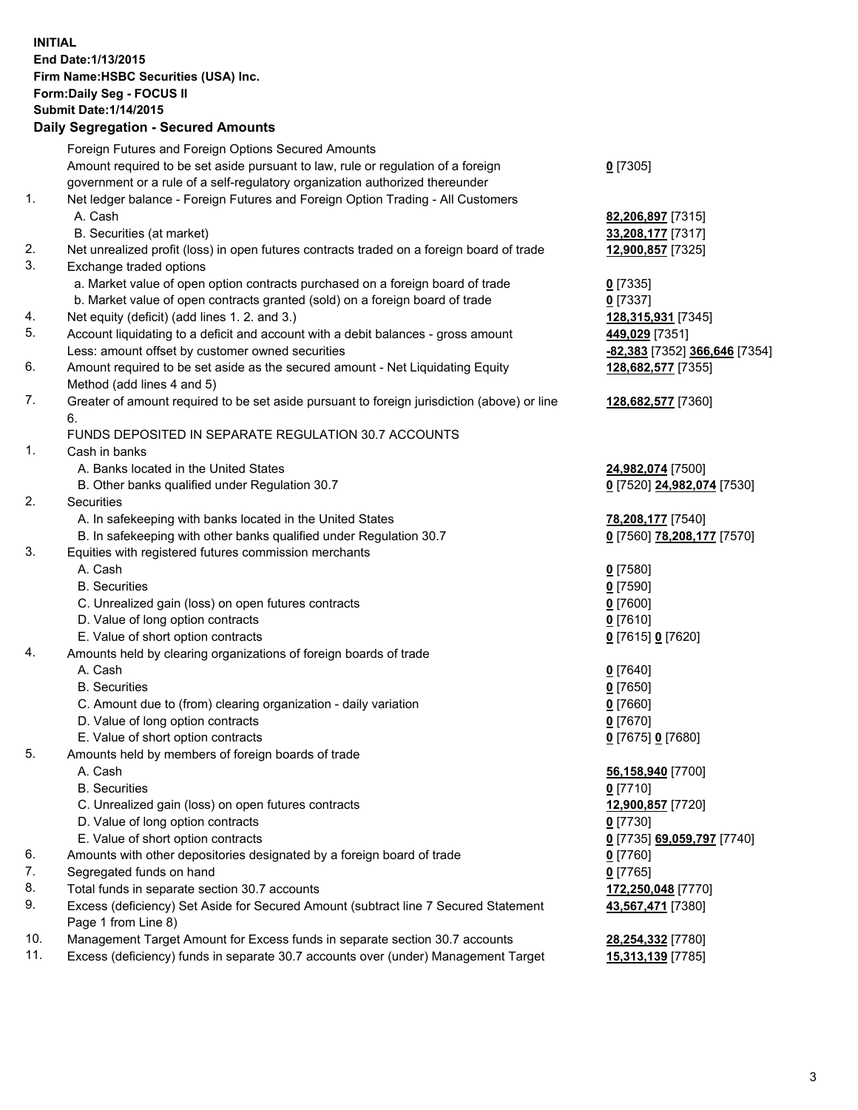**INITIAL End Date:1/13/2015 Firm Name:HSBC Securities (USA) Inc. Form:Daily Seg - FOCUS II Submit Date:1/14/2015 Daily Segregation - Secured Amounts**

Foreign Futures and Foreign Options Secured Amounts Amount required to be set aside pursuant to law, rule or regulation of a foreign government or a rule of a self-regulatory organization authorized thereunder **0** [7305] 1. Net ledger balance - Foreign Futures and Foreign Option Trading - All Customers A. Cash **82,206,897** [7315] B. Securities (at market) **33,208,177** [7317] 2. Net unrealized profit (loss) in open futures contracts traded on a foreign board of trade **12,900,857** [7325] 3. Exchange traded options a. Market value of open option contracts purchased on a foreign board of trade **0** [7335] b. Market value of open contracts granted (sold) on a foreign board of trade **0** [7337] 4. Net equity (deficit) (add lines 1. 2. and 3.) **128,315,931** [7345] 5. Account liquidating to a deficit and account with a debit balances - gross amount **449,029** [7351] Less: amount offset by customer owned securities **-82,383** [7352] **366,646** [7354] 6. Amount required to be set aside as the secured amount - Net Liquidating Equity Method (add lines 4 and 5) **128,682,577** [7355] 7. Greater of amount required to be set aside pursuant to foreign jurisdiction (above) or line 6. **128,682,577** [7360] FUNDS DEPOSITED IN SEPARATE REGULATION 30.7 ACCOUNTS 1. Cash in banks A. Banks located in the United States **24,982,074** [7500] B. Other banks qualified under Regulation 30.7 **0** [7520] **24,982,074** [7530] 2. Securities A. In safekeeping with banks located in the United States **78,208,177** [7540] B. In safekeeping with other banks qualified under Regulation 30.7 **0** [7560] **78,208,177** [7570] 3. Equities with registered futures commission merchants A. Cash **0** [7580] B. Securities **0** [7590] C. Unrealized gain (loss) on open futures contracts **0** [7600] D. Value of long option contracts **0** [7610] E. Value of short option contracts **0** [7615] **0** [7620] 4. Amounts held by clearing organizations of foreign boards of trade A. Cash **0** [7640] B. Securities **0** [7650] C. Amount due to (from) clearing organization - daily variation **0** [7660] D. Value of long option contracts **0** [7670] E. Value of short option contracts **0** [7675] **0** [7680] 5. Amounts held by members of foreign boards of trade A. Cash **56,158,940** [7700] B. Securities **0** [7710] C. Unrealized gain (loss) on open futures contracts **12,900,857** [7720] D. Value of long option contracts **0** [7730] E. Value of short option contracts **0** [7735] **69,059,797** [7740] 6. Amounts with other depositories designated by a foreign board of trade **0** [7760] 7. Segregated funds on hand **0** [7765] 8. Total funds in separate section 30.7 accounts **172,250,048** [7770] 9. Excess (deficiency) Set Aside for Secured Amount (subtract line 7 Secured Statement Page 1 from Line 8) **43,567,471** [7380] 10. Management Target Amount for Excess funds in separate section 30.7 accounts **28,254,332** [7780] 11. Excess (deficiency) funds in separate 30.7 accounts over (under) Management Target **15,313,139** [7785]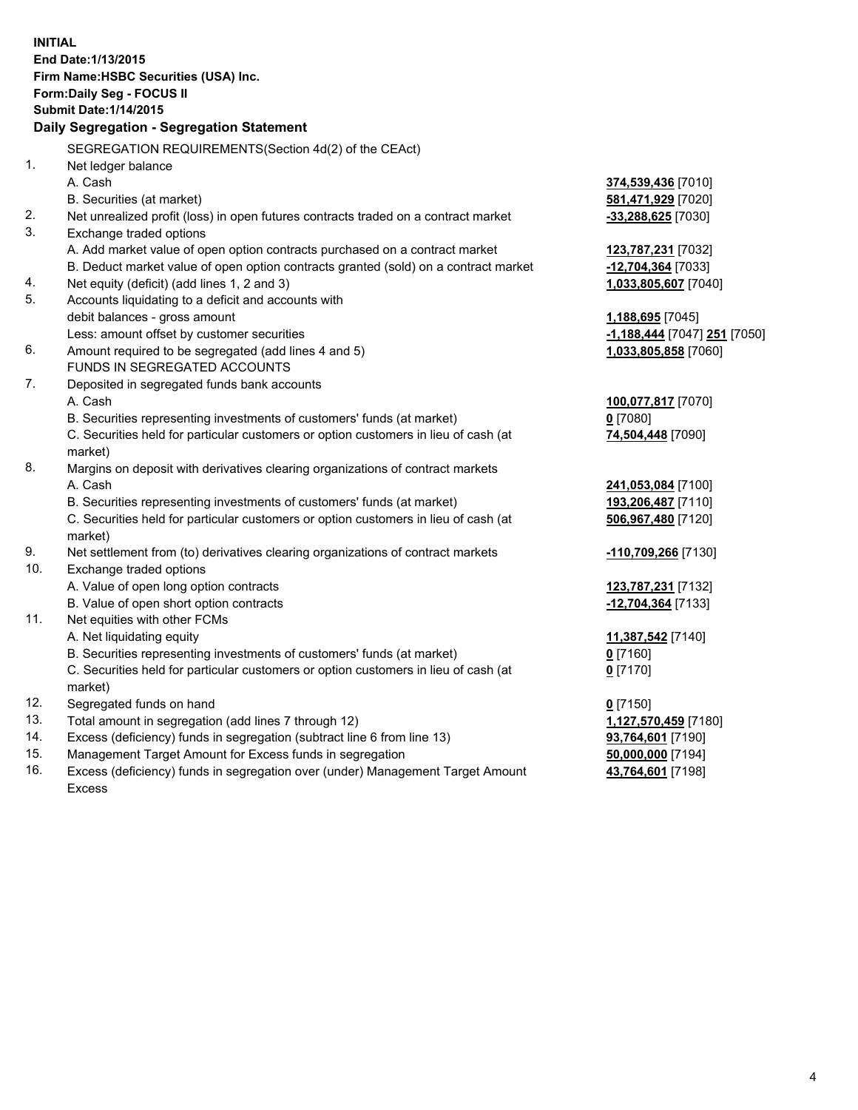| <b>INITIAL</b>                            |                                                                                                |                              |  |  |  |  |
|-------------------------------------------|------------------------------------------------------------------------------------------------|------------------------------|--|--|--|--|
| End Date: 1/13/2015                       |                                                                                                |                              |  |  |  |  |
| Firm Name: HSBC Securities (USA) Inc.     |                                                                                                |                              |  |  |  |  |
|                                           | Form: Daily Seg - FOCUS II                                                                     |                              |  |  |  |  |
|                                           | <b>Submit Date:1/14/2015</b>                                                                   |                              |  |  |  |  |
| Daily Segregation - Segregation Statement |                                                                                                |                              |  |  |  |  |
|                                           | SEGREGATION REQUIREMENTS(Section 4d(2) of the CEAct)                                           |                              |  |  |  |  |
| 1.                                        | Net ledger balance                                                                             |                              |  |  |  |  |
|                                           | A. Cash                                                                                        | 374,539,436 [7010]           |  |  |  |  |
|                                           | B. Securities (at market)                                                                      | 581,471,929 [7020]           |  |  |  |  |
| 2.                                        | Net unrealized profit (loss) in open futures contracts traded on a contract market             | -33,288,625 [7030]           |  |  |  |  |
| 3.                                        | Exchange traded options                                                                        |                              |  |  |  |  |
|                                           | A. Add market value of open option contracts purchased on a contract market                    | 123,787,231 [7032]           |  |  |  |  |
|                                           | B. Deduct market value of open option contracts granted (sold) on a contract market            | -12,704,364 [7033]           |  |  |  |  |
| 4.                                        | Net equity (deficit) (add lines 1, 2 and 3)                                                    | 1,033,805,607 [7040]         |  |  |  |  |
| 5.                                        | Accounts liquidating to a deficit and accounts with                                            |                              |  |  |  |  |
|                                           | debit balances - gross amount                                                                  | 1,188,695 [7045]             |  |  |  |  |
|                                           | Less: amount offset by customer securities                                                     | -1,188,444 [7047] 251 [7050] |  |  |  |  |
| 6.                                        | Amount required to be segregated (add lines 4 and 5)                                           | 1,033,805,858 [7060]         |  |  |  |  |
|                                           | FUNDS IN SEGREGATED ACCOUNTS                                                                   |                              |  |  |  |  |
| 7.                                        | Deposited in segregated funds bank accounts                                                    |                              |  |  |  |  |
|                                           | A. Cash                                                                                        | 100,077,817 [7070]           |  |  |  |  |
|                                           | B. Securities representing investments of customers' funds (at market)                         | $0$ [7080]                   |  |  |  |  |
|                                           | C. Securities held for particular customers or option customers in lieu of cash (at<br>market) | 74,504,448 [7090]            |  |  |  |  |
| 8.                                        | Margins on deposit with derivatives clearing organizations of contract markets                 |                              |  |  |  |  |
|                                           | A. Cash                                                                                        | 241,053,084 [7100]           |  |  |  |  |
|                                           | B. Securities representing investments of customers' funds (at market)                         | 193,206,487 [7110]           |  |  |  |  |
|                                           | C. Securities held for particular customers or option customers in lieu of cash (at<br>market) | 506,967,480 [7120]           |  |  |  |  |
| 9.                                        | Net settlement from (to) derivatives clearing organizations of contract markets                | -110,709,266 [7130]          |  |  |  |  |
| 10.                                       | Exchange traded options                                                                        |                              |  |  |  |  |
|                                           | A. Value of open long option contracts                                                         | 123,787,231 [7132]           |  |  |  |  |
|                                           | B. Value of open short option contracts                                                        | -12,704,364 [7133]           |  |  |  |  |
| 11.                                       | Net equities with other FCMs                                                                   |                              |  |  |  |  |
|                                           | A. Net liquidating equity                                                                      | 11,387,542 [7140]            |  |  |  |  |
|                                           | B. Securities representing investments of customers' funds (at market)                         | $0$ [7160]                   |  |  |  |  |
|                                           | C. Securities held for particular customers or option customers in lieu of cash (at            | $0$ [7170]                   |  |  |  |  |
|                                           | market)                                                                                        |                              |  |  |  |  |
| 12.                                       | Segregated funds on hand                                                                       | $0$ [7150]                   |  |  |  |  |
| 13.                                       | Total amount in segregation (add lines 7 through 12)                                           | 1,127,570,459 [7180]         |  |  |  |  |
| 14.                                       | Excess (deficiency) funds in segregation (subtract line 6 from line 13)                        | 93,764,601 [7190]            |  |  |  |  |
| 15.                                       | Management Target Amount for Excess funds in segregation                                       | 50,000,000 [7194]            |  |  |  |  |
| 16.                                       | Excess (deficiency) funds in segregation over (under) Management Target Amount                 | 43,764,601 [7198]            |  |  |  |  |
|                                           | Excess                                                                                         |                              |  |  |  |  |